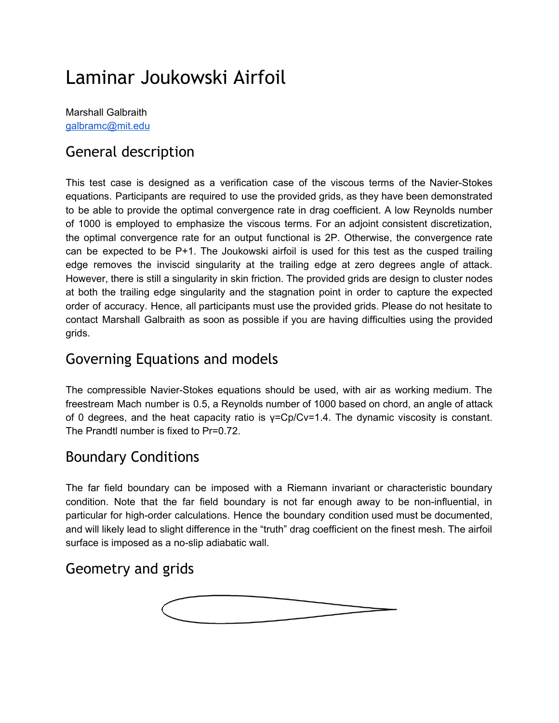# Laminar Joukowski Airfoil

Marshall Galbraith [galbramc@mit.edu](mailto:galbramc@mit.edu)

### General description

This test case is designed as a verification case of the viscous terms of the Navier-Stokes equations. Participants are required to use the provided grids, as they have been demonstrated to be able to provide the optimal convergence rate in drag coefficient. A low Reynolds number of 1000 is employed to emphasize the viscous terms. For an adjoint consistent discretization, the optimal convergence rate for an output functional is 2P. Otherwise, the convergence rate can be expected to be P+1. The Joukowski airfoil is used for this test as the cusped trailing edge removes the inviscid singularity at the trailing edge at zero degrees angle of attack. However, there is still a singularity in skin friction. The provided grids are design to cluster nodes at both the trailing edge singularity and the stagnation point in order to capture the expected order of accuracy. Hence, all participants must use the provided grids. Please do not hesitate to contact Marshall Galbraith as soon as possible if you are having difficulties using the provided grids.

#### Governing Equations and models

The compressible Navier-Stokes equations should be used, with air as working medium. The freestream Mach number is 0.5, a Reynolds number of 1000 based on chord, an angle of attack of 0 degrees, and the heat capacity ratio is γ=Cp/Cv=1.4. The dynamic viscosity is constant. The Prandtl number is fixed to Pr=0.72.

### Boundary Conditions

The far field boundary can be imposed with a Riemann invariant or characteristic boundary condition. Note that the far field boundary is not far enough away to be non-influential, in particular for high-order calculations. Hence the boundary condition used must be documented, and will likely lead to slight difference in the "truth" drag coefficient on the finest mesh. The airfoil surface is imposed as a no-slip adiabatic wall.

### Geometry and grids

$$
\underbrace{\hspace{4.8cm}}
$$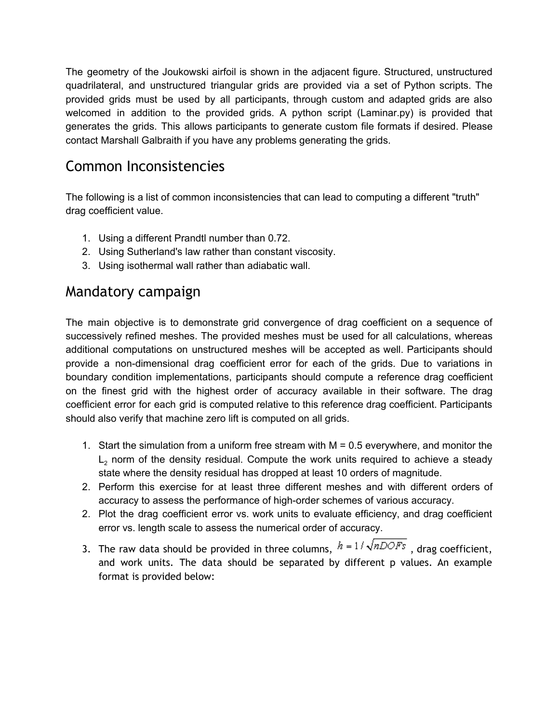The geometry of the Joukowski airfoil is shown in the adjacent figure. Structured, unstructured quadrilateral, and unstructured triangular grids are provided via a set of Python scripts. The provided grids must be used by all participants, through custom and adapted grids are also welcomed in addition to the provided grids. A python script (Laminar.py) is provided that generates the grids. This allows participants to generate custom file formats if desired. Please contact Marshall Galbraith if you have any problems generating the grids.

### Common Inconsistencies

The following is a list of common inconsistencies that can lead to computing a different "truth" drag coefficient value.

- 1. Using a different Prandtl number than 0.72.
- 2. Using Sutherland's law rather than constant viscosity.
- 3. Using isothermal wall rather than adiabatic wall.

#### Mandatory campaign

The main objective is to demonstrate grid convergence of drag coefficient on a sequence of successively refined meshes. The provided meshes must be used for all calculations, whereas additional computations on unstructured meshes will be accepted as well. Participants should provide a non-dimensional drag coefficient error for each of the grids. Due to variations in boundary condition implementations, participants should compute a reference drag coefficient on the finest grid with the highest order of accuracy available in their software. The drag coefficient error for each grid is computed relative to this reference drag coefficient. Participants should also verify that machine zero lift is computed on all grids.

- 1. Start the simulation from a uniform free stream with M = 0.5 everywhere, and monitor the  $L<sub>2</sub>$  norm of the density residual. Compute the work units required to achieve a steady state where the density residual has dropped at least 10 orders of magnitude.
- 2. Perform this exercise for at least three different meshes and with different orders of accuracy to assess the performance of high-order schemes of various accuracy.
- 2. Plot the drag coefficient error vs. work units to evaluate efficiency, and drag coefficient error vs. length scale to assess the numerical order of accuracy.
- 3. The raw data should be provided in three columns,  $h = 1/\sqrt{nDOFs}$ , drag coefficient, and work units. The data should be separated by different p values. An example format is provided below: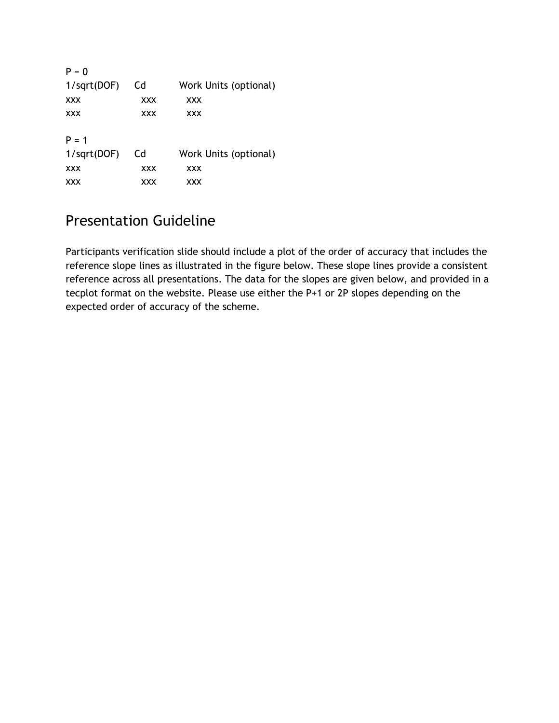| $P = 0$        |            |                       |
|----------------|------------|-----------------------|
| $1$ /sqrt(DOF) | Cd         | Work Units (optional) |
| <b>XXX</b>     | <b>XXX</b> | <b>XXX</b>            |
| <b>XXX</b>     | <b>XXX</b> | <b>XXX</b>            |
| $P = 1$        |            |                       |
| 1/sqrt(DOF)    | Cd         | Work Units (optional) |
| <b>XXX</b>     | XXX        | <b>XXX</b>            |
| <b>XXX</b>     | <b>XXX</b> | XXX                   |

## Presentation Guideline

Participants verification slide should include a plot of the order of accuracy that includes the reference slope lines as illustrated in the figure below. These slope lines provide a consistent reference across all presentations. The data for the slopes are given below, and provided in a tecplot format on the website. Please use either the P+1 or 2P slopes depending on the expected order of accuracy of the scheme.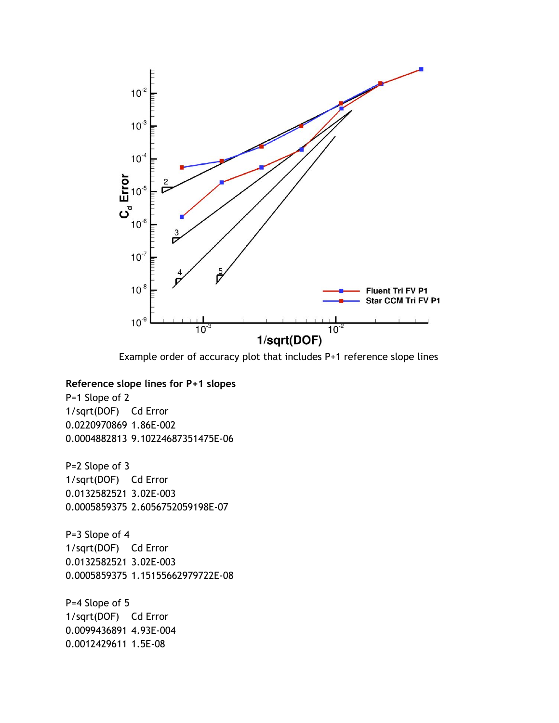

Example order of accuracy plot that includes P+1 reference slope lines

#### **Reference slope lines for P+1 slopes**

P=1 Slope of 2 1/sqrt(DOF) Cd Error 0.0220970869 1.86E-002 0.0004882813 9.10224687351475E-06

P=2 Slope of 3 1/sqrt(DOF) Cd Error 0.0132582521 3.02E-003 0.0005859375 2.6056752059198E-07

P=3 Slope of 4 1/sqrt(DOF) Cd Error 0.0132582521 3.02E-003 0.0005859375 1.15155662979722E-08

P=4 Slope of 5 1/sqrt(DOF) Cd Error 0.0099436891 4.93E-004 0.0012429611 1.5E-08